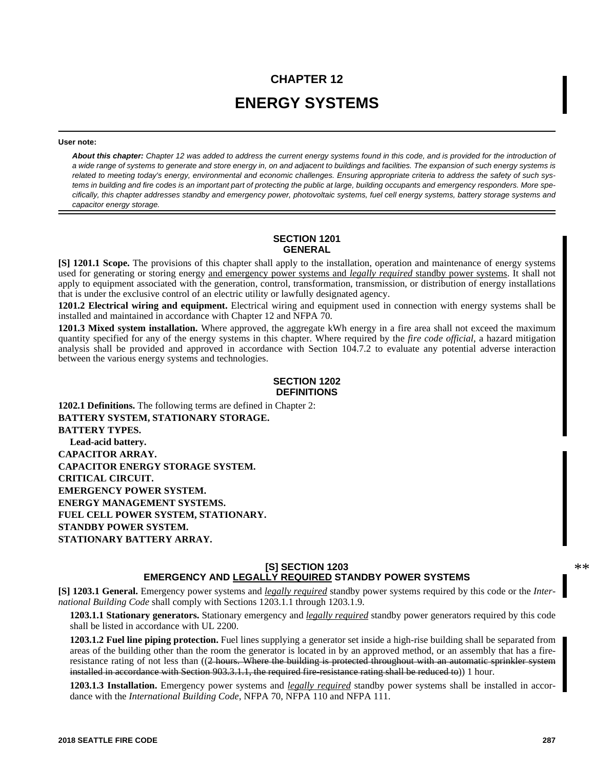# **CHAPTER 12 ENERGY SYSTEMS**

#### **User note:**

*About this chapter: Chapter 12 was added to address the current energy systems found in this code, and is provided for the introduction of a wide range of systems to generate and store energy in, on and adjacent to buildings and facilities. The expansion of such energy systems is related to meeting today's energy, environmental and economic challenges. Ensuring appropriate criteria to address the safety of such systems in building and fire codes is an important part of protecting the public at large, building occupants and emergency responders. More specifically, this chapter addresses standby and emergency power, photovoltaic systems, fuel cell energy systems, battery storage systems and capacitor energy storage.* 

#### **SECTION 1201 GENERAL**

**[S] 1201.1 Scope.** The provisions of this chapter shall apply to the installation, operation and maintenance of energy systems used for generating or storing energy and emergency power systems and *legally required* standby power systems. It shall not apply to equipment associated with the generation, control, transformation, transmission, or distribution of energy installations that is under the exclusive control of an electric utility or lawfully designated agency.

**1201.2 Electrical wiring and equipment.** Electrical wiring and equipment used in connection with energy systems shall be installed and maintained in accordance with Chapter 12 and NFPA 70.

**1201.3 Mixed system installation.** Where approved, the aggregate kWh energy in a fire area shall not exceed the maximum quantity specified for any of the energy systems in this chapter. Where required by the *fire code official*, a hazard mitigation analysis shall be provided and approved in accordance with Section 104.7.2 to evaluate any potential adverse interaction between the various energy systems and technologies.

#### **SECTION 1202 DEFINITIONS**

**1202.1 Definitions.** The following terms are defined in Chapter 2: **BATTERY SYSTEM, STATIONARY STORAGE. BATTERY TYPES. Lead-acid battery. CAPACITOR ARRAY. CAPACITOR ENERGY STORAGE SYSTEM. CRITICAL CIRCUIT. EMERGENCY POWER SYSTEM. ENERGY MANAGEMENT SYSTEMS. FUEL CELL POWER SYSTEM, STATIONARY. STANDBY POWER SYSTEM. STATIONARY BATTERY ARRAY.**

## **[S] SECTION 1203 EMERGENCY AND LEGALLY REQUIRED STANDBY POWER SYSTEMS**

\*\*

**[S] 1203.1 General.** Emergency power systems and *legally required* standby power systems required by this code or the *International Building Code* shall comply with Sections 1203.1.1 through 1203.1.9.

**1203.1.1 Stationary generators.** Stationary emergency and *legally required* standby power generators required by this code shall be listed in accordance with UL 2200.

**1203.1.2 Fuel line piping protection.** Fuel lines supplying a generator set inside a high-rise building shall be separated from areas of the building other than the room the generator is located in by an approved method, or an assembly that has a fireresistance rating of not less than ((2 hours. Where the building is protected throughout with an automatic sprinkler system installed in accordance with Section 903.3.1.1, the required fire-resistance rating shall be reduced to)) 1 hour.

**1203.1.3 Installation.** Emergency power systems and *legally required* standby power systems shall be installed in accordance with the *International Building Code*, NFPA 70, NFPA 110 and NFPA 111.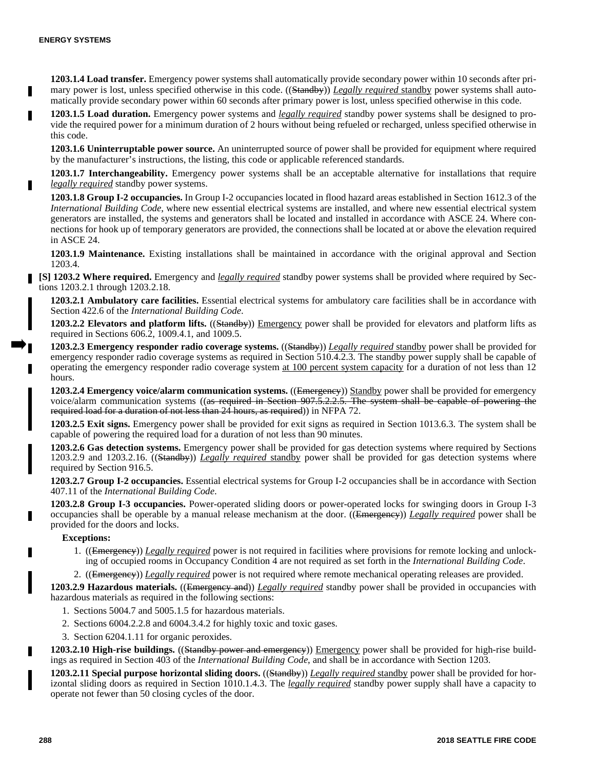**1203.1.4 Load transfer.** Emergency power systems shall automatically provide secondary power within 10 seconds after primary power is lost, unless specified otherwise in this code. ((Standby)) *Legally required* standby power systems shall automatically provide secondary power within 60 seconds after primary power is lost, unless specified otherwise in this code.

**1203.1.5 Load duration.** Emergency power systems and *legally required* standby power systems shall be designed to provide the required power for a minimum duration of 2 hours without being refueled or recharged, unless specified otherwise in this code.

**1203.1.6 Uninterruptable power source.** An uninterrupted source of power shall be provided for equipment where required by the manufacturer's instructions, the listing, this code or applicable referenced standards.

**1203.1.7 Interchangeability.** Emergency power systems shall be an acceptable alternative for installations that require *legally required* standby power systems.

**1203.1.8 Group I-2 occupancies.** In Group I-2 occupancies located in flood hazard areas established in Section 1612.3 of the *International Building Code*, where new essential electrical systems are installed, and where new essential electrical system generators are installed, the systems and generators shall be located and installed in accordance with ASCE 24. Where connections for hook up of temporary generators are provided, the connections shall be located at or above the elevation required in ASCE 24.

**1203.1.9 Maintenance.** Existing installations shall be maintained in accordance with the original approval and Section 1203.4.

**[S] 1203.2 Where required.** Emergency and *legally required* standby power systems shall be provided where required by Sections 1203.2.1 through 1203.2.18.

**1203.2.1 Ambulatory care facilities.** Essential electrical systems for ambulatory care facilities shall be in accordance with Section 422.6 of the *International Building Code*.

**1203.2.2 Elevators and platform lifts.** ((Standby)) Emergency power shall be provided for elevators and platform lifts as required in Sections 606.2, 1009.4.1, and 1009.5.

**1203.2.3 Emergency responder radio coverage systems.** ((Standby)) *Legally required* standby power shall be provided for emergency responder radio coverage systems as required in Section 510.4.2.3. The standby power supply shall be capable of operating the emergency responder radio coverage system at 100 percent system capacity for a duration of not less than 12 hours.

**1203.2.4 Emergency voice/alarm communication systems.** ((Emergency)) Standby power shall be provided for emergency voice/alarm communication systems ((as required in Section 907.5.2.2.5. The system shall be capable of powering the required load for a duration of not less than 24 hours, as required)) in NFPA 72.

**1203.2.5 Exit signs.** Emergency power shall be provided for exit signs as required in Section 1013.6.3. The system shall be capable of powering the required load for a duration of not less than 90 minutes.

**1203.2.6 Gas detection systems.** Emergency power shall be provided for gas detection systems where required by Sections 1203.2.9 and 1203.2.16. ((Standby)) *Legally required* standby power shall be provided for gas detection systems where required by Section 916.5.

**1203.2.7 Group I-2 occupancies.** Essential electrical systems for Group I-2 occupancies shall be in accordance with Section 407.11 of the *International Building Code*.

**1203.2.8 Group I-3 occupancies.** Power-operated sliding doors or power-operated locks for swinging doors in Group I-3 occupancies shall be operable by a manual release mechanism at the door. ((Emergency)) *Legally required* power shall be provided for the doors and locks.

#### **Exceptions:**

1. ((Emergency)) *Legally required* power is not required in facilities where provisions for remote locking and unlocking of occupied rooms in Occupancy Condition 4 are not required as set forth in the *International Building Code*.

2. ((Emergency)) *Legally required* power is not required where remote mechanical operating releases are provided.

**1203.2.9 Hazardous materials.** ((Emergency and)) *Legally required* standby power shall be provided in occupancies with hazardous materials as required in the following sections:

- 1. Sections 5004.7 and 5005.1.5 for hazardous materials.
- 2. Sections 6004.2.2.8 and 6004.3.4.2 for highly toxic and toxic gases.
- 3. Section 6204.1.11 for organic peroxides.

**1203.2.10 High-rise buildings.** ((Standby power and emergency)) Emergency power shall be provided for high-rise buildings as required in Section 403 of the *International Building Code*, and shall be in accordance with Section 1203.

**1203.2.11 Special purpose horizontal sliding doors.** ((Standby)) *Legally required* standby power shall be provided for horizontal sliding doors as required in Section 1010.1.4.3. The *legally required* standby power supply shall have a capacity to operate not fewer than 50 closing cycles of the door.

Н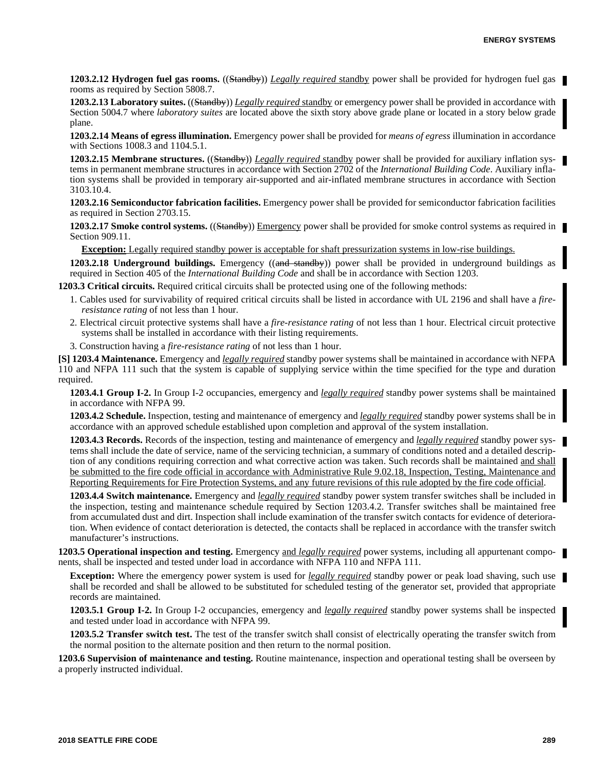**1203.2.12 Hydrogen fuel gas rooms.** ((Standby)) *Legally required* standby power shall be provided for hydrogen fuel gas rooms as required by Section 5808.7.

**1203.2.13 Laboratory suites.** ((Standby)) *Legally required* standby or emergency power shall be provided in accordance with Section 5004.7 where *laboratory suites* are located above the sixth story above grade plane or located in a story below grade plane.

**1203.2.14 Means of egress illumination.** Emergency power shall be provided for *means of egress* illumination in accordance with Sections 1008.3 and 1104.5.1.

**1203.2.15 Membrane structures.** ((Standby)) *Legally required* standby power shall be provided for auxiliary inflation systems in permanent membrane structures in accordance with Section 2702 of the *International Building Code*. Auxiliary inflation systems shall be provided in temporary air-supported and air-inflated membrane structures in accordance with Section 3103.10.4.

**1203.2.16 Semiconductor fabrication facilities.** Emergency power shall be provided for semiconductor fabrication facilities as required in Section 2703.15.

**1203.2.17 Smoke control systems.** ((Standby)) Emergency power shall be provided for smoke control systems as required in Section 909.11.

**Exception:** Legally required standby power is acceptable for shaft pressurization systems in low-rise buildings.

**1203.2.18 Underground buildings.** Emergency ((and standby) power shall be provided in underground buildings as required in Section 405 of the *International Building Code* and shall be in accordance with Section 1203.

**1203.3 Critical circuits.** Required critical circuits shall be protected using one of the following methods:

- 1. Cables used for survivability of required critical circuits shall be listed in accordance with UL 2196 and shall have a *fireresistance rating* of not less than 1 hour.
- 2. Electrical circuit protective systems shall have a *fire-resistance rating* of not less than 1 hour. Electrical circuit protective systems shall be installed in accordance with their listing requirements.
- 3. Construction having a *fire-resistance rating* of not less than 1 hour.

**[S] 1203.4 Maintenance.** Emergency and *legally required* standby power systems shall be maintained in accordance with NFPA 110 and NFPA 111 such that the system is capable of supplying service within the time specified for the type and duration required.

**1203.4.1 Group I-2.** In Group I-2 occupancies, emergency and *legally required* standby power systems shall be maintained in accordance with NFPA 99.

**1203.4.2 Schedule.** Inspection, testing and maintenance of emergency and *legally required* standby power systems shall be in accordance with an approved schedule established upon completion and approval of the system installation.

**1203.4.3 Records.** Records of the inspection, testing and maintenance of emergency and *legally required* standby power systems shall include the date of service, name of the servicing technician, a summary of conditions noted and a detailed description of any conditions requiring correction and what corrective action was taken. Such records shall be maintained and shall be submitted to the fire code official in accordance with Administrative Rule 9.02.18, Inspection, Testing, Maintenance and Reporting Requirements for Fire Protection Systems, and any future revisions of this rule adopted by the fire code official.

**1203.4.4 Switch maintenance.** Emergency and *legally required* standby power system transfer switches shall be included in the inspection, testing and maintenance schedule required by Section 1203.4.2. Transfer switches shall be maintained free from accumulated dust and dirt. Inspection shall include examination of the transfer switch contacts for evidence of deterioration. When evidence of contact deterioration is detected, the contacts shall be replaced in accordance with the transfer switch manufacturer's instructions.

**1203.5 Operational inspection and testing.** Emergency and *legally required* power systems, including all appurtenant components, shall be inspected and tested under load in accordance with NFPA 110 and NFPA 111.

**Exception:** Where the emergency power system is used for *legally required* standby power or peak load shaving, such use shall be recorded and shall be allowed to be substituted for scheduled testing of the generator set, provided that appropriate records are maintained.

**1203.5.1 Group I-2.** In Group I-2 occupancies, emergency and *legally required* standby power systems shall be inspected and tested under load in accordance with NFPA 99.

**1203.5.2 Transfer switch test.** The test of the transfer switch shall consist of electrically operating the transfer switch from the normal position to the alternate position and then return to the normal position.

**1203.6 Supervision of maintenance and testing.** Routine maintenance, inspection and operational testing shall be overseen by a properly instructed individual.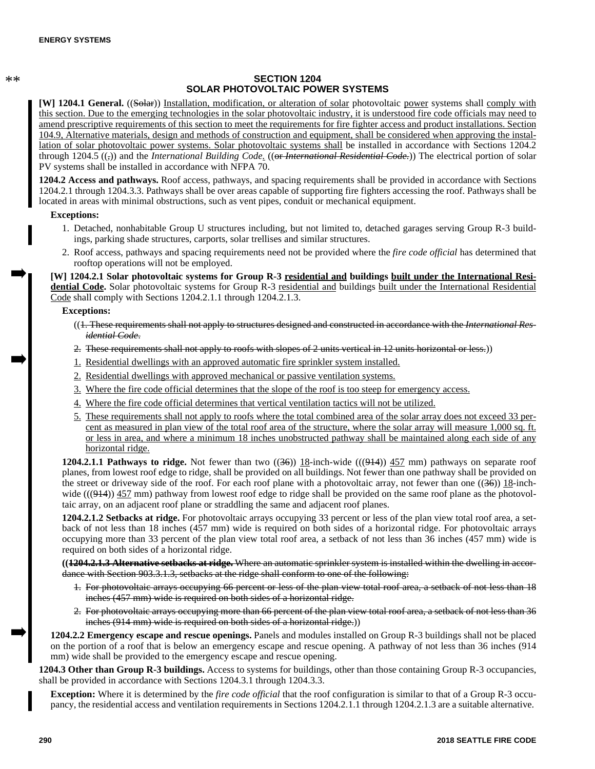\*\*

## **SECTION 1204 SOLAR PHOTOVOLTAIC POWER SYSTEMS**

**[W] 1204.1 General.** ((Solar)) Installation, modification, or alteration of solar photovoltaic power systems shall comply with this section. Due to the emerging technologies in the solar photovoltaic industry, it is understood fire code officials may need to amend prescriptive requirements of this section to meet the requirements for fire fighter access and product installations. Section 104.9, Alternative materials, design and methods of construction and equipment, shall be considered when approving the installation of solar photovoltaic power systems. Solar photovoltaic systems shall be installed in accordance with Sections 1204.2 through 1204.5 (( $\tau$ )) and the *International Building Code*. ((<del>or *International Residential Code*.</del>)) The electrical portion of solar PV systems shall be installed in accordance with NFPA 70.

**1204.2 Access and pathways.** Roof access, pathways, and spacing requirements shall be provided in accordance with Sections 1204.2.1 through 1204.3.3. Pathways shall be over areas capable of supporting fire fighters accessing the roof. Pathways shall be located in areas with minimal obstructions, such as vent pipes, conduit or mechanical equipment.

#### **Exceptions:**

- 1. Detached, nonhabitable Group U structures including, but not limited to, detached garages serving Group R-3 buildings, parking shade structures, carports, solar trellises and similar structures.
- 2. Roof access, pathways and spacing requirements need not be provided where the *fire code official* has determined that rooftop operations will not be employed.

**[W] 1204.2.1 Solar photovoltaic systems for Group R-3 residential and buildings built under the International Residential Code.** Solar photovoltaic systems for Group R-3 residential and buildings built under the International Residential Code shall comply with Sections 1204.2.1.1 through 1204.2.1.3.

## **Exceptions:**

- ((1. These requirements shall not apply to structures designed and constructed in accordance with the *International Residential Code*.
- 2. These requirements shall not apply to roofs with slopes of 2 units vertical in 12 units horizontal or less.))
- 1. Residential dwellings with an approved automatic fire sprinkler system installed.
- 2. Residential dwellings with approved mechanical or passive ventilation systems.
- 3. Where the fire code official determines that the slope of the roof is too steep for emergency access.
- 4. Where the fire code official determines that vertical ventilation tactics will not be utilized.
- 5. These requirements shall not apply to roofs where the total combined area of the solar array does not exceed 33 percent as measured in plan view of the total roof area of the structure, where the solar array will measure 1,000 sq. ft. or less in area, and where a minimum 18 inches unobstructed pathway shall be maintained along each side of any horizontal ridge.

**1204.2.1.1 Pathways to ridge.** Not fewer than two ((36)) 18-inch-wide (((944)) 457 mm) pathways on separate roof planes, from lowest roof edge to ridge, shall be provided on all buildings. Not fewer than one pathway shall be provided on the street or driveway side of the roof. For each roof plane with a photovoltaic array, not fewer than one  $((36))$  18-inchwide  $(((914))$  457 mm) pathway from lowest roof edge to ridge shall be provided on the same roof plane as the photovoltaic array, on an adjacent roof plane or straddling the same and adjacent roof planes.

**1204.2.1.2 Setbacks at ridge.** For photovoltaic arrays occupying 33 percent or less of the plan view total roof area, a setback of not less than 18 inches (457 mm) wide is required on both sides of a horizontal ridge. For photovoltaic arrays occupying more than 33 percent of the plan view total roof area, a setback of not less than 36 inches (457 mm) wide is required on both sides of a horizontal ridge.

**((1204.2.1.3 Alternative setbacks at ridge.** Where an automatic sprinkler system is installed within the dwelling in accordance with Section 903.3.1.3, setbacks at the ridge shall conform to one of the following:

- 1. For photovoltaic arrays occupying 66 percent or less of the plan view total roof area, a setback of not less than 18 inches (457 mm) wide is required on both sides of a horizontal ridge.
- 2. For photovoltaic arrays occupying more than 66 percent of the plan view total roof area, a setback of not less than 36 inches (914 mm) wide is required on both sides of a horizontal ridge.))

**1204.2.2 Emergency escape and rescue openings.** Panels and modules installed on Group R-3 buildings shall not be placed on the portion of a roof that is below an emergency escape and rescue opening. A pathway of not less than 36 inches (914 mm) wide shall be provided to the emergency escape and rescue opening.

**1204.3 Other than Group R-3 buildings.** Access to systems for buildings, other than those containing Group R-3 occupancies, shall be provided in accordance with Sections 1204.3.1 through 1204.3.3.

**Exception:** Where it is determined by the *fire code official* that the roof configuration is similar to that of a Group R-3 occupancy, the residential access and ventilation requirements in Sections 1204.2.1.1 through 1204.2.1.3 are a suitable alternative.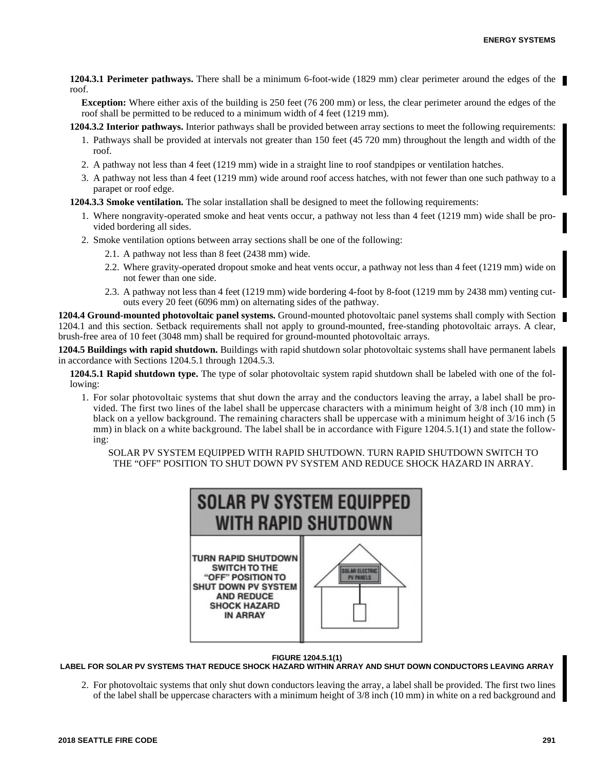**1204.3.1 Perimeter pathways.** There shall be a minimum 6-foot-wide (1829 mm) clear perimeter around the edges of the roof.

**Exception:** Where either axis of the building is 250 feet (76 200 mm) or less, the clear perimeter around the edges of the roof shall be permitted to be reduced to a minimum width of 4 feet (1219 mm).

**1204.3.2 Interior pathways.** Interior pathways shall be provided between array sections to meet the following requirements:

- 1. Pathways shall be provided at intervals not greater than 150 feet (45 720 mm) throughout the length and width of the roof.
- 2. A pathway not less than 4 feet (1219 mm) wide in a straight line to roof standpipes or ventilation hatches.
- 3. A pathway not less than 4 feet (1219 mm) wide around roof access hatches, with not fewer than one such pathway to a parapet or roof edge.

**1204.3.3 Smoke ventilation.** The solar installation shall be designed to meet the following requirements:

- 1. Where nongravity-operated smoke and heat vents occur, a pathway not less than 4 feet (1219 mm) wide shall be provided bordering all sides.
- 2. Smoke ventilation options between array sections shall be one of the following:
	- 2.1. A pathway not less than 8 feet (2438 mm) wide.
	- 2.2. Where gravity-operated dropout smoke and heat vents occur, a pathway not less than 4 feet (1219 mm) wide on not fewer than one side.
	- 2.3. A pathway not less than 4 feet (1219 mm) wide bordering 4-foot by 8-foot (1219 mm by 2438 mm) venting cutouts every 20 feet (6096 mm) on alternating sides of the pathway.

**1204.4 Ground-mounted photovoltaic panel systems.** Ground-mounted photovoltaic panel systems shall comply with Section 1204.1 and this section. Setback requirements shall not apply to ground-mounted, free-standing photovoltaic arrays. A clear, brush-free area of 10 feet (3048 mm) shall be required for ground-mounted photovoltaic arrays.

**1204.5 Buildings with rapid shutdown.** Buildings with rapid shutdown solar photovoltaic systems shall have permanent labels in accordance with Sections 1204.5.1 through 1204.5.3.

**1204.5.1 Rapid shutdown type.** The type of solar photovoltaic system rapid shutdown shall be labeled with one of the following:

1. For solar photovoltaic systems that shut down the array and the conductors leaving the array, a label shall be provided. The first two lines of the label shall be uppercase characters with a minimum height of 3/8 inch (10 mm) in black on a yellow background. The remaining characters shall be uppercase with a minimum height of 3/16 inch (5 mm) in black on a white background. The label shall be in accordance with Figure 1204.5.1(1) and state the following:

SOLAR PV SYSTEM EQUIPPED WITH RAPID SHUTDOWN. TURN RAPID SHUTDOWN SWITCH TO THE "OFF" POSITION TO SHUT DOWN PV SYSTEM AND REDUCE SHOCK HAZARD IN ARRAY.



**FIGURE 1204.5.1(1)**

**LABEL FOR SOLAR PV SYSTEMS THAT REDUCE SHOCK HAZARD WITHIN ARRAY AND SHUT DOWN CONDUCTORS LEAVING ARRAY**

2. For photovoltaic systems that only shut down conductors leaving the array, a label shall be provided. The first two lines of the label shall be uppercase characters with a minimum height of 3/8 inch (10 mm) in white on a red background and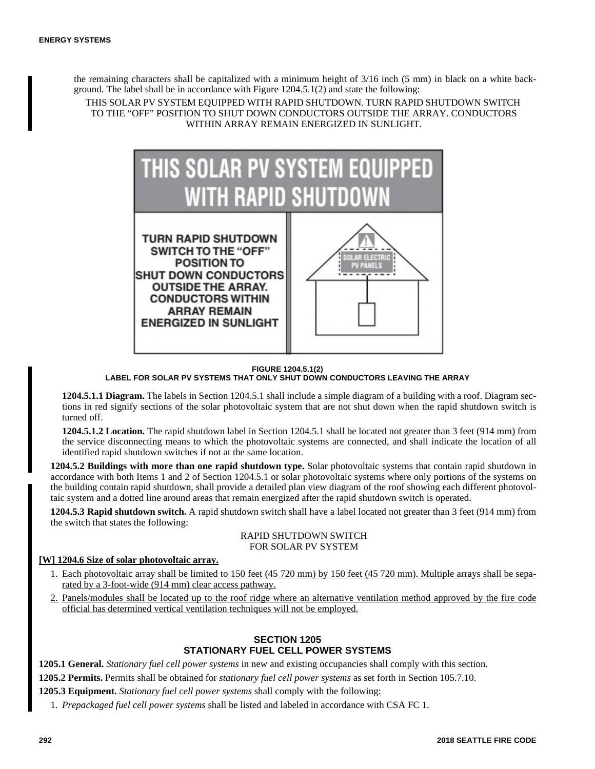the remaining characters shall be capitalized with a minimum height of 3/16 inch (5 mm) in black on a white background. The label shall be in accordance with Figure 1204.5.1(2) and state the following:

THIS SOLAR PV SYSTEM EQUIPPED WITH RAPID SHUTDOWN. TURN RAPID SHUTDOWN SWITCH TO THE "OFF" POSITION TO SHUT DOWN CONDUCTORS OUTSIDE THE ARRAY. CONDUCTORS WITHIN ARRAY REMAIN ENERGIZED IN SUNLIGHT.



**FIGURE 1204.5.1(2) LABEL FOR SOLAR PV SYSTEMS THAT ONLY SHUT DOWN CONDUCTORS LEAVING THE ARRAY**

**1204.5.1.1 Diagram.** The labels in Section 1204.5.1 shall include a simple diagram of a building with a roof. Diagram sections in red signify sections of the solar photovoltaic system that are not shut down when the rapid shutdown switch is turned off.

**1204.5.1.2 Location.** The rapid shutdown label in Section 1204.5.1 shall be located not greater than 3 feet (914 mm) from the service disconnecting means to which the photovoltaic systems are connected, and shall indicate the location of all identified rapid shutdown switches if not at the same location.

**1204.5.2 Buildings with more than one rapid shutdown type.** Solar photovoltaic systems that contain rapid shutdown in accordance with both Items 1 and 2 of Section 1204.5.1 or solar photovoltaic systems where only portions of the systems on the building contain rapid shutdown, shall provide a detailed plan view diagram of the roof showing each different photovoltaic system and a dotted line around areas that remain energized after the rapid shutdown switch is operated.

**1204.5.3 Rapid shutdown switch.** A rapid shutdown switch shall have a label located not greater than 3 feet (914 mm) from the switch that states the following:

#### RAPID SHUTDOWN SWITCH FOR SOLAR PV SYSTEM

# **[W] 1204.6 Size of solar photovoltaic array.**

- 1. Each photovoltaic array shall be limited to 150 feet (45 720 mm) by 150 feet (45 720 mm). Multiple arrays shall be separated by a 3-foot-wide (914 mm) clear access pathway.
- 2. Panels/modules shall be located up to the roof ridge where an alternative ventilation method approved by the fire code official has determined vertical ventilation techniques will not be employed.

# **SECTION 1205 STATIONARY FUEL CELL POWER SYSTEMS**

**1205.1 General.** *Stationary fuel cell power systems* in new and existing occupancies shall comply with this section.

**1205.2 Permits.** Permits shall be obtained for *stationary fuel cell power systems* as set forth in Section 105.7.10.

**1205.3 Equipment.** *Stationary fuel cell power systems* shall comply with the following:

1. *Prepackaged fuel cell power systems* shall be listed and labeled in accordance with CSA FC 1.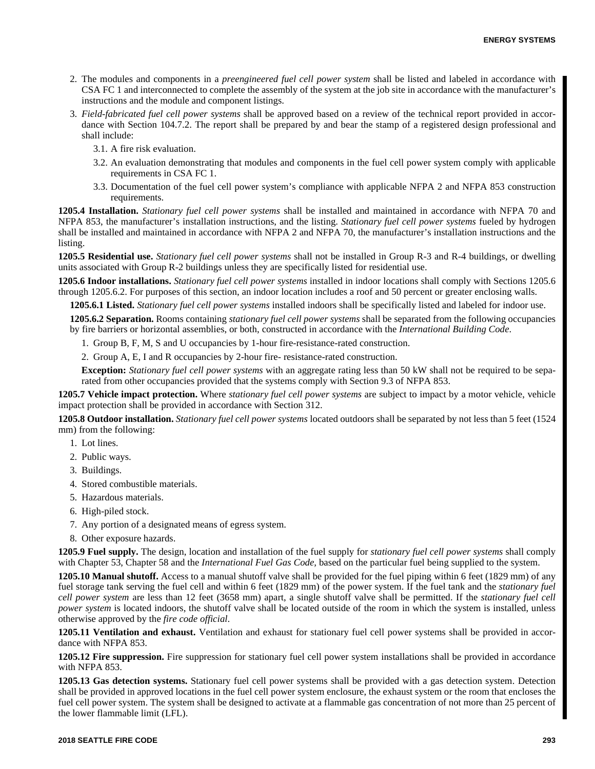- 2. The modules and components in a *preengineered fuel cell power system* shall be listed and labeled in accordance with CSA FC 1 and interconnected to complete the assembly of the system at the job site in accordance with the manufacturer's instructions and the module and component listings.
- 3. *Field-fabricated fuel cell power systems* shall be approved based on a review of the technical report provided in accordance with Section 104.7.2. The report shall be prepared by and bear the stamp of a registered design professional and shall include:
	- 3.1. A fire risk evaluation.
	- 3.2. An evaluation demonstrating that modules and components in the fuel cell power system comply with applicable requirements in CSA FC 1.
	- 3.3. Documentation of the fuel cell power system's compliance with applicable NFPA 2 and NFPA 853 construction requirements.

**1205.4 Installation.** *Stationary fuel cell power systems* shall be installed and maintained in accordance with NFPA 70 and NFPA 853, the manufacturer's installation instructions, and the listing. *Stationary fuel cell power systems* fueled by hydrogen shall be installed and maintained in accordance with NFPA 2 and NFPA 70, the manufacturer's installation instructions and the listing.

**1205.5 Residential use.** *Stationary fuel cell power systems* shall not be installed in Group R-3 and R-4 buildings, or dwelling units associated with Group R-2 buildings unless they are specifically listed for residential use.

**1205.6 Indoor installations.** *Stationary fuel cell power systems* installed in indoor locations shall comply with Sections 1205.6 through 1205.6.2. For purposes of this section, an indoor location includes a roof and 50 percent or greater enclosing walls.

**1205.6.1 Listed.** *Stationary fuel cell power systems* installed indoors shall be specifically listed and labeled for indoor use.

**1205.6.2 Separation.** Rooms containing *stationary fuel cell power systems* shall be separated from the following occupancies by fire barriers or horizontal assemblies, or both, constructed in accordance with the *International Building Code*.

- 1. Group B, F, M, S and U occupancies by 1-hour fire-resistance-rated construction.
- 2. Group A, E, I and R occupancies by 2-hour fire- resistance-rated construction.

**Exception:** *Stationary fuel cell power systems* with an aggregate rating less than 50 kW shall not be required to be separated from other occupancies provided that the systems comply with Section 9.3 of NFPA 853.

**1205.7 Vehicle impact protection.** Where *stationary fuel cell power systems* are subject to impact by a motor vehicle, vehicle impact protection shall be provided in accordance with Section 312.

**1205.8 Outdoor installation.** *Stationary fuel cell power systems* located outdoors shall be separated by not less than 5 feet (1524 mm) from the following:

- 1. Lot lines.
- 2. Public ways.
- 3. Buildings.
- 4. Stored combustible materials.
- 5. Hazardous materials.
- 6. High-piled stock.
- 7. Any portion of a designated means of egress system.
- 8. Other exposure hazards.

**1205.9 Fuel supply.** The design, location and installation of the fuel supply for *stationary fuel cell power systems* shall comply with Chapter 53, Chapter 58 and the *International Fuel Gas Code,* based on the particular fuel being supplied to the system.

**1205.10 Manual shutoff.** Access to a manual shutoff valve shall be provided for the fuel piping within 6 feet (1829 mm) of any fuel storage tank serving the fuel cell and within 6 feet (1829 mm) of the power system. If the fuel tank and the *stationary fuel cell power system* are less than 12 feet (3658 mm) apart, a single shutoff valve shall be permitted. If the *stationary fuel cell power system* is located indoors, the shutoff valve shall be located outside of the room in which the system is installed, unless otherwise approved by the *fire code official*.

**1205.11 Ventilation and exhaust.** Ventilation and exhaust for stationary fuel cell power systems shall be provided in accordance with NFPA 853.

**1205.12 Fire suppression.** Fire suppression for stationary fuel cell power system installations shall be provided in accordance with NFPA 853.

**1205.13 Gas detection systems.** Stationary fuel cell power systems shall be provided with a gas detection system. Detection shall be provided in approved locations in the fuel cell power system enclosure, the exhaust system or the room that encloses the fuel cell power system. The system shall be designed to activate at a flammable gas concentration of not more than 25 percent of the lower flammable limit (LFL).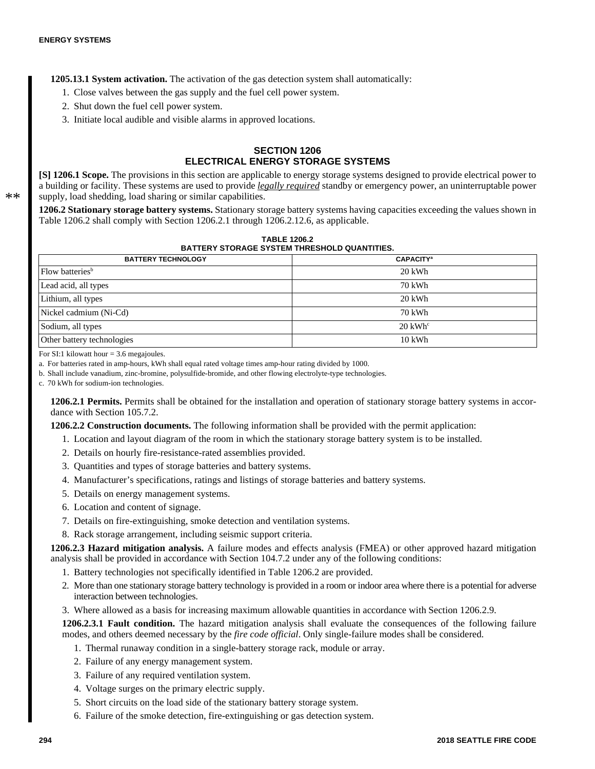**1205.13.1 System activation.** The activation of the gas detection system shall automatically:

- 1. Close valves between the gas supply and the fuel cell power system.
- 2. Shut down the fuel cell power system.
- 3. Initiate local audible and visible alarms in approved locations.

## **SECTION 1206 ELECTRICAL ENERGY STORAGE SYSTEMS**

**[S] 1206.1 Scope.** The provisions in this section are applicable to energy storage systems designed to provide electrical power to a building or facility. These systems are used to provide *legally required* standby or emergency power, an uninterruptable power supply, load shedding, load sharing or similar capabilities.

**1206.2 Stationary storage battery systems.** Stationary storage battery systems having capacities exceeding the values shown in Table 1206.2 shall comply with Section 1206.2.1 through 1206.2.12.6, as applicable.

| <b>TABLE 1206.2</b>                                 |
|-----------------------------------------------------|
| <b>BATTERY STORAGE SYSTEM THRESHOLD QUANTITIES.</b> |

| <b>BATTERY TECHNOLOGY</b>   | <b>CAPACITY</b> <sup>a</sup> |
|-----------------------------|------------------------------|
| Flow batteries <sup>b</sup> | $20$ kWh                     |
| Lead acid, all types        | 70 kWh                       |
| Lithium, all types          | $20$ kWh                     |
| Nickel cadmium (Ni-Cd)      | 70 kWh                       |
| Sodium, all types           | $20 \text{ kWh}^{\circ}$     |
| Other battery technologies  | $10$ kWh                     |

For SI:1 kilowatt hour  $=$  3.6 megaioules.

a. For batteries rated in amp-hours, kWh shall equal rated voltage times amp-hour rating divided by 1000.

b. Shall include vanadium, zinc-bromine, polysulfide-bromide, and other flowing electrolyte-type technologies.

c. 70 kWh for sodium-ion technologies.

**1206.2.1 Permits.** Permits shall be obtained for the installation and operation of stationary storage battery systems in accordance with Section 105.7.2.

**1206.2.2 Construction documents.** The following information shall be provided with the permit application:

- 1. Location and layout diagram of the room in which the stationary storage battery system is to be installed.
- 2. Details on hourly fire-resistance-rated assemblies provided.
- 3. Quantities and types of storage batteries and battery systems.
- 4. Manufacturer's specifications, ratings and listings of storage batteries and battery systems.
- 5. Details on energy management systems.
- 6. Location and content of signage.
- 7. Details on fire-extinguishing, smoke detection and ventilation systems.
- 8. Rack storage arrangement, including seismic support criteria.

**1206.2.3 Hazard mitigation analysis.** A failure modes and effects analysis (FMEA) or other approved hazard mitigation analysis shall be provided in accordance with Section 104.7.2 under any of the following conditions:

- 1. Battery technologies not specifically identified in Table 1206.2 are provided.
- 2. More than one stationary storage battery technology is provided in a room or indoor area where there is a potential for adverse interaction between technologies.
- 3. Where allowed as a basis for increasing maximum allowable quantities in accordance with Section 1206.2.9.

**1206.2.3.1 Fault condition.** The hazard mitigation analysis shall evaluate the consequences of the following failure modes, and others deemed necessary by the *fire code official*. Only single-failure modes shall be considered.

- 1. Thermal runaway condition in a single-battery storage rack, module or array.
- 2. Failure of any energy management system.
- 3. Failure of any required ventilation system.
- 4. Voltage surges on the primary electric supply.
- 5. Short circuits on the load side of the stationary battery storage system.
- 6. Failure of the smoke detection, fire-extinguishing or gas detection system.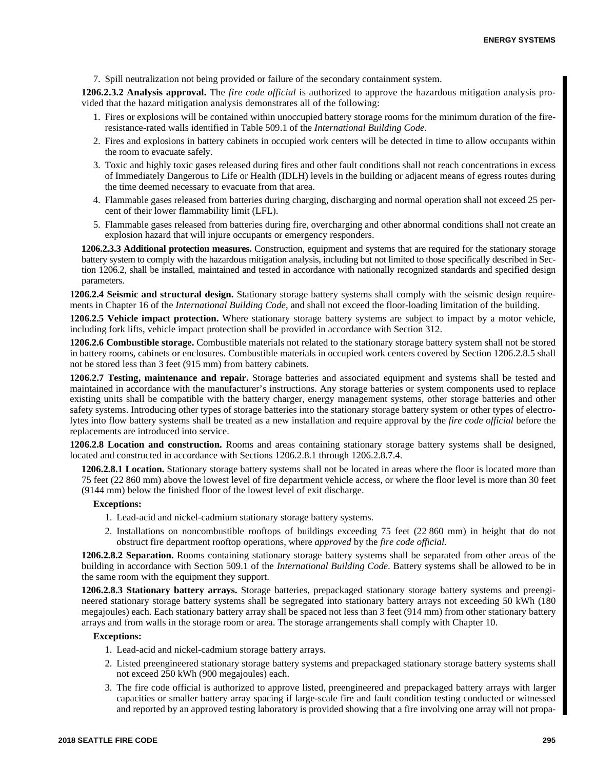7. Spill neutralization not being provided or failure of the secondary containment system.

**1206.2.3.2 Analysis approval.** The *fire code official* is authorized to approve the hazardous mitigation analysis provided that the hazard mitigation analysis demonstrates all of the following:

- 1. Fires or explosions will be contained within unoccupied battery storage rooms for the minimum duration of the fireresistance-rated walls identified in Table 509.1 of the *International Building Code*.
- 2. Fires and explosions in battery cabinets in occupied work centers will be detected in time to allow occupants within the room to evacuate safely.
- 3. Toxic and highly toxic gases released during fires and other fault conditions shall not reach concentrations in excess of Immediately Dangerous to Life or Health (IDLH) levels in the building or adjacent means of egress routes during the time deemed necessary to evacuate from that area.
- 4. Flammable gases released from batteries during charging, discharging and normal operation shall not exceed 25 percent of their lower flammability limit (LFL).
- 5. Flammable gases released from batteries during fire, overcharging and other abnormal conditions shall not create an explosion hazard that will injure occupants or emergency responders.

**1206.2.3.3 Additional protection measures.** Construction, equipment and systems that are required for the stationary storage battery system to comply with the hazardous mitigation analysis, including but not limited to those specifically described in Section 1206.2, shall be installed, maintained and tested in accordance with nationally recognized standards and specified design parameters.

**1206.2.4 Seismic and structural design.** Stationary storage battery systems shall comply with the seismic design requirements in Chapter 16 of the *International Building Code*, and shall not exceed the floor-loading limitation of the building.

**1206.2.5 Vehicle impact protection.** Where stationary storage battery systems are subject to impact by a motor vehicle, including fork lifts, vehicle impact protection shall be provided in accordance with Section 312.

**1206.2.6 Combustible storage.** Combustible materials not related to the stationary storage battery system shall not be stored in battery rooms, cabinets or enclosures. Combustible materials in occupied work centers covered by Section 1206.2.8.5 shall not be stored less than 3 feet (915 mm) from battery cabinets.

**1206.2.7 Testing, maintenance and repair.** Storage batteries and associated equipment and systems shall be tested and maintained in accordance with the manufacturer's instructions. Any storage batteries or system components used to replace existing units shall be compatible with the battery charger, energy management systems, other storage batteries and other safety systems. Introducing other types of storage batteries into the stationary storage battery system or other types of electrolytes into flow battery systems shall be treated as a new installation and require approval by the *fire code official* before the replacements are introduced into service.

**1206.2.8 Location and construction.** Rooms and areas containing stationary storage battery systems shall be designed, located and constructed in accordance with Sections 1206.2.8.1 through 1206.2.8.7.4.

**1206.2.8.1 Location.** Stationary storage battery systems shall not be located in areas where the floor is located more than 75 feet (22 860 mm) above the lowest level of fire department vehicle access, or where the floor level is more than 30 feet (9144 mm) below the finished floor of the lowest level of exit discharge.

#### **Exceptions:**

- 1. Lead-acid and nickel-cadmium stationary storage battery systems.
- 2. Installations on noncombustible rooftops of buildings exceeding 75 feet (22 860 mm) in height that do not obstruct fire department rooftop operations, where *approved* by the *fire code official.*

**1206.2.8.2 Separation.** Rooms containing stationary storage battery systems shall be separated from other areas of the building in accordance with Section 509.1 of the *International Building Code*. Battery systems shall be allowed to be in the same room with the equipment they support.

**1206.2.8.3 Stationary battery arrays.** Storage batteries, prepackaged stationary storage battery systems and preengineered stationary storage battery systems shall be segregated into stationary battery arrays not exceeding 50 kWh (180 megajoules) each. Each stationary battery array shall be spaced not less than 3 feet (914 mm) from other stationary battery arrays and from walls in the storage room or area. The storage arrangements shall comply with Chapter 10.

#### **Exceptions:**

- 1. Lead-acid and nickel-cadmium storage battery arrays.
- 2. Listed preengineered stationary storage battery systems and prepackaged stationary storage battery systems shall not exceed 250 kWh (900 megajoules) each.
- 3. The fire code official is authorized to approve listed, preengineered and prepackaged battery arrays with larger capacities or smaller battery array spacing if large-scale fire and fault condition testing conducted or witnessed and reported by an approved testing laboratory is provided showing that a fire involving one array will not propa-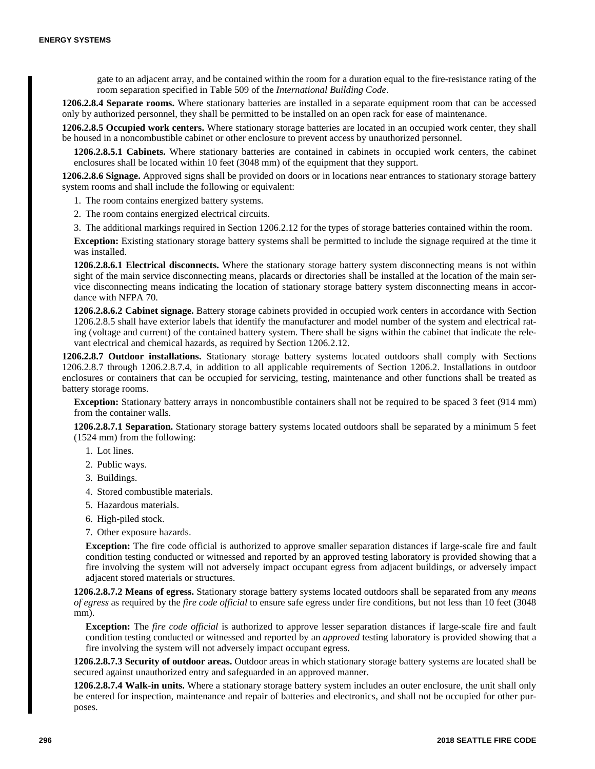gate to an adjacent array, and be contained within the room for a duration equal to the fire-resistance rating of the room separation specified in Table 509 of the *International Building Code*.

**1206.2.8.4 Separate rooms.** Where stationary batteries are installed in a separate equipment room that can be accessed only by authorized personnel, they shall be permitted to be installed on an open rack for ease of maintenance.

**1206.2.8.5 Occupied work centers.** Where stationary storage batteries are located in an occupied work center, they shall be housed in a noncombustible cabinet or other enclosure to prevent access by unauthorized personnel.

**1206.2.8.5.1 Cabinets.** Where stationary batteries are contained in cabinets in occupied work centers, the cabinet enclosures shall be located within 10 feet (3048 mm) of the equipment that they support.

**1206.2.8.6 Signage.** Approved signs shall be provided on doors or in locations near entrances to stationary storage battery system rooms and shall include the following or equivalent:

1. The room contains energized battery systems.

2. The room contains energized electrical circuits.

3. The additional markings required in Section 1206.2.12 for the types of storage batteries contained within the room.

**Exception:** Existing stationary storage battery systems shall be permitted to include the signage required at the time it was installed.

**1206.2.8.6.1 Electrical disconnects.** Where the stationary storage battery system disconnecting means is not within sight of the main service disconnecting means, placards or directories shall be installed at the location of the main service disconnecting means indicating the location of stationary storage battery system disconnecting means in accordance with NFPA 70.

**1206.2.8.6.2 Cabinet signage.** Battery storage cabinets provided in occupied work centers in accordance with Section 1206.2.8.5 shall have exterior labels that identify the manufacturer and model number of the system and electrical rating (voltage and current) of the contained battery system. There shall be signs within the cabinet that indicate the relevant electrical and chemical hazards, as required by Section 1206.2.12.

**1206.2.8.7 Outdoor installations.** Stationary storage battery systems located outdoors shall comply with Sections 1206.2.8.7 through 1206.2.8.7.4, in addition to all applicable requirements of Section 1206.2. Installations in outdoor enclosures or containers that can be occupied for servicing, testing, maintenance and other functions shall be treated as battery storage rooms.

**Exception:** Stationary battery arrays in noncombustible containers shall not be required to be spaced 3 feet (914 mm) from the container walls.

**1206.2.8.7.1 Separation.** Stationary storage battery systems located outdoors shall be separated by a minimum 5 feet (1524 mm) from the following:

- 1. Lot lines.
- 2. Public ways.
- 3. Buildings.
- 4. Stored combustible materials.
- 5. Hazardous materials.
- 6. High-piled stock.
- 7. Other exposure hazards.

**Exception:** The fire code official is authorized to approve smaller separation distances if large-scale fire and fault condition testing conducted or witnessed and reported by an approved testing laboratory is provided showing that a fire involving the system will not adversely impact occupant egress from adjacent buildings, or adversely impact adjacent stored materials or structures.

**1206.2.8.7.2 Means of egress.** Stationary storage battery systems located outdoors shall be separated from any *means of egress* as required by the *fire code official* to ensure safe egress under fire conditions, but not less than 10 feet (3048 mm).

**Exception:** The *fire code official* is authorized to approve lesser separation distances if large-scale fire and fault condition testing conducted or witnessed and reported by an *approved* testing laboratory is provided showing that a fire involving the system will not adversely impact occupant egress.

**1206.2.8.7.3 Security of outdoor areas.** Outdoor areas in which stationary storage battery systems are located shall be secured against unauthorized entry and safeguarded in an approved manner.

**1206.2.8.7.4 Walk-in units.** Where a stationary storage battery system includes an outer enclosure, the unit shall only be entered for inspection, maintenance and repair of batteries and electronics, and shall not be occupied for other purposes.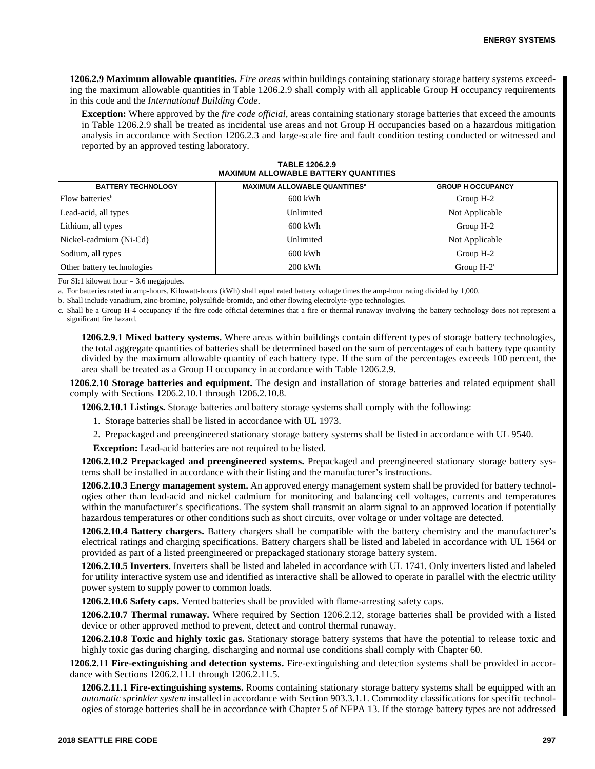**1206.2.9 Maximum allowable quantities.** *Fire areas* within buildings containing stationary storage battery systems exceeding the maximum allowable quantities in Table 1206.2.9 shall comply with all applicable Group H occupancy requirements in this code and the *International Building Code*.

**Exception:** Where approved by the *fire code official*, areas containing stationary storage batteries that exceed the amounts in Table 1206.2.9 shall be treated as incidental use areas and not Group H occupancies based on a hazardous mitigation analysis in accordance with Section 1206.2.3 and large-scale fire and fault condition testing conducted or witnessed and reported by an approved testing laboratory.

| <b>BATTERY TECHNOLOGY</b>   | <b>MAXIMUM ALLOWABLE QUANTITIES<sup>a</sup></b> | <b>GROUP H OCCUPANCY</b> |
|-----------------------------|-------------------------------------------------|--------------------------|
| Flow batteries <sup>b</sup> | 600 kWh                                         | Group H-2                |
| Lead-acid, all types        | Unlimited                                       | Not Applicable           |
| Lithium, all types          | 600 kWh                                         | Group H-2                |
| Nickel-cadmium (Ni-Cd)      | Unlimited                                       | Not Applicable           |
| Sodium, all types           | 600 kWh                                         | Group H-2                |
| Other battery technologies  | $200$ kWh                                       | Group $H-2^c$            |

**TABLE 1206.2.9 MAXIMUM ALLOWABLE BATTERY QUANTITIES**

For SI:1 kilowatt hour  $=$  3.6 megajoules.

a. For batteries rated in amp-hours, Kilowatt-hours (kWh) shall equal rated battery voltage times the amp-hour rating divided by 1,000.

b. Shall include vanadium, zinc-bromine, polysulfide-bromide, and other flowing electrolyte-type technologies.

c. Shall be a Group H-4 occupancy if the fire code official determines that a fire or thermal runaway involving the battery technology does not represent a significant fire hazard.

**1206.2.9.1 Mixed battery systems.** Where areas within buildings contain different types of storage battery technologies, the total aggregate quantities of batteries shall be determined based on the sum of percentages of each battery type quantity divided by the maximum allowable quantity of each battery type. If the sum of the percentages exceeds 100 percent, the area shall be treated as a Group H occupancy in accordance with Table 1206.2.9.

**1206.2.10 Storage batteries and equipment.** The design and installation of storage batteries and related equipment shall comply with Sections 1206.2.10.1 through 1206.2.10.8.

**1206.2.10.1 Listings.** Storage batteries and battery storage systems shall comply with the following:

1. Storage batteries shall be listed in accordance with UL 1973.

2. Prepackaged and preengineered stationary storage battery systems shall be listed in accordance with UL 9540.

**Exception:** Lead-acid batteries are not required to be listed.

**1206.2.10.2 Prepackaged and preengineered systems.** Prepackaged and preengineered stationary storage battery systems shall be installed in accordance with their listing and the manufacturer's instructions.

**1206.2.10.3 Energy management system.** An approved energy management system shall be provided for battery technologies other than lead-acid and nickel cadmium for monitoring and balancing cell voltages, currents and temperatures within the manufacturer's specifications. The system shall transmit an alarm signal to an approved location if potentially hazardous temperatures or other conditions such as short circuits, over voltage or under voltage are detected.

**1206.2.10.4 Battery chargers.** Battery chargers shall be compatible with the battery chemistry and the manufacturer's electrical ratings and charging specifications. Battery chargers shall be listed and labeled in accordance with UL 1564 or provided as part of a listed preengineered or prepackaged stationary storage battery system.

**1206.2.10.5 Inverters.** Inverters shall be listed and labeled in accordance with UL 1741. Only inverters listed and labeled for utility interactive system use and identified as interactive shall be allowed to operate in parallel with the electric utility power system to supply power to common loads.

**1206.2.10.6 Safety caps.** Vented batteries shall be provided with flame-arresting safety caps.

**1206.2.10.7 Thermal runaway.** Where required by Section 1206.2.12, storage batteries shall be provided with a listed device or other approved method to prevent, detect and control thermal runaway.

**1206.2.10.8 Toxic and highly toxic gas.** Stationary storage battery systems that have the potential to release toxic and highly toxic gas during charging, discharging and normal use conditions shall comply with Chapter 60.

**1206.2.11 Fire-extinguishing and detection systems.** Fire-extinguishing and detection systems shall be provided in accordance with Sections 1206.2.11.1 through 1206.2.11.5.

**1206.2.11.1 Fire-extinguishing systems.** Rooms containing stationary storage battery systems shall be equipped with an *automatic sprinkler system* installed in accordance with Section 903.3.1.1. Commodity classifications for specific technologies of storage batteries shall be in accordance with Chapter 5 of NFPA 13. If the storage battery types are not addressed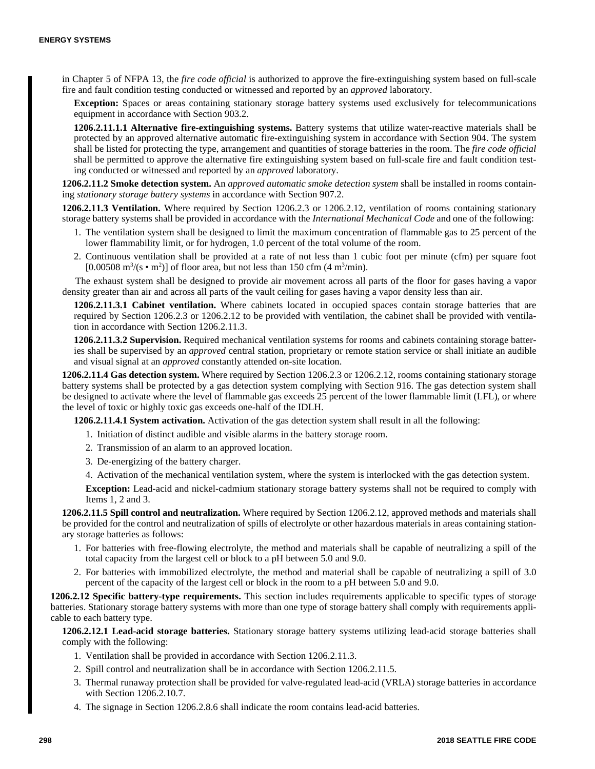in Chapter 5 of NFPA 13, the *fire code official* is authorized to approve the fire-extinguishing system based on full-scale fire and fault condition testing conducted or witnessed and reported by an *approved* laboratory.

**Exception:** Spaces or areas containing stationary storage battery systems used exclusively for telecommunications equipment in accordance with Section 903.2.

**1206.2.11.1.1 Alternative fire-extinguishing systems.** Battery systems that utilize water-reactive materials shall be protected by an approved alternative automatic fire-extinguishing system in accordance with Section 904. The system shall be listed for protecting the type, arrangement and quantities of storage batteries in the room. The *fire code official* shall be permitted to approve the alternative fire extinguishing system based on full-scale fire and fault condition testing conducted or witnessed and reported by an *approved* laboratory.

**1206.2.11.2 Smoke detection system.** An *approved automatic smoke detection system* shall be installed in rooms containing *stationary storage battery systems* in accordance with Section 907.2.

**1206.2.11.3 Ventilation.** Where required by Section 1206.2.3 or 1206.2.12, ventilation of rooms containing stationary storage battery systems shall be provided in accordance with the *International Mechanical Code* and one of the following:

- 1. The ventilation system shall be designed to limit the maximum concentration of flammable gas to 25 percent of the lower flammability limit, or for hydrogen, 1.0 percent of the total volume of the room.
- 2. Continuous ventilation shall be provided at a rate of not less than 1 cubic foot per minute (cfm) per square foot [0.00508 m<sup>3</sup>/(s • m<sup>2</sup>)] of floor area, but not less than 150 cfm (4 m<sup>3</sup>/min).

The exhaust system shall be designed to provide air movement across all parts of the floor for gases having a vapor density greater than air and across all parts of the vault ceiling for gases having a vapor density less than air.

**1206.2.11.3.1 Cabinet ventilation.** Where cabinets located in occupied spaces contain storage batteries that are required by Section 1206.2.3 or 1206.2.12 to be provided with ventilation, the cabinet shall be provided with ventilation in accordance with Section 1206.2.11.3.

**1206.2.11.3.2 Supervision.** Required mechanical ventilation systems for rooms and cabinets containing storage batteries shall be supervised by an *approved* central station, proprietary or remote station service or shall initiate an audible and visual signal at an *approved* constantly attended on-site location.

**1206.2.11.4 Gas detection system.** Where required by Section 1206.2.3 or 1206.2.12, rooms containing stationary storage battery systems shall be protected by a gas detection system complying with Section 916. The gas detection system shall be designed to activate where the level of flammable gas exceeds 25 percent of the lower flammable limit (LFL), or where the level of toxic or highly toxic gas exceeds one-half of the IDLH.

**1206.2.11.4.1 System activation.** Activation of the gas detection system shall result in all the following:

- 1. Initiation of distinct audible and visible alarms in the battery storage room.
- 2. Transmission of an alarm to an approved location.
- 3. De-energizing of the battery charger.
- 4. Activation of the mechanical ventilation system, where the system is interlocked with the gas detection system.

**Exception:** Lead-acid and nickel-cadmium stationary storage battery systems shall not be required to comply with Items 1, 2 and 3.

**1206.2.11.5 Spill control and neutralization.** Where required by Section 1206.2.12, approved methods and materials shall be provided for the control and neutralization of spills of electrolyte or other hazardous materials in areas containing stationary storage batteries as follows:

- 1. For batteries with free-flowing electrolyte, the method and materials shall be capable of neutralizing a spill of the total capacity from the largest cell or block to a pH between 5.0 and 9.0.
- 2. For batteries with immobilized electrolyte, the method and material shall be capable of neutralizing a spill of 3.0 percent of the capacity of the largest cell or block in the room to a pH between 5.0 and 9.0.

**1206.2.12 Specific battery-type requirements.** This section includes requirements applicable to specific types of storage batteries. Stationary storage battery systems with more than one type of storage battery shall comply with requirements applicable to each battery type.

**1206.2.12.1 Lead-acid storage batteries.** Stationary storage battery systems utilizing lead-acid storage batteries shall comply with the following:

- 1. Ventilation shall be provided in accordance with Section 1206.2.11.3.
- 2. Spill control and neutralization shall be in accordance with Section 1206.2.11.5.
- 3. Thermal runaway protection shall be provided for valve-regulated lead-acid (VRLA) storage batteries in accordance with Section 1206.2.10.7.
- 4. The signage in Section 1206.2.8.6 shall indicate the room contains lead-acid batteries.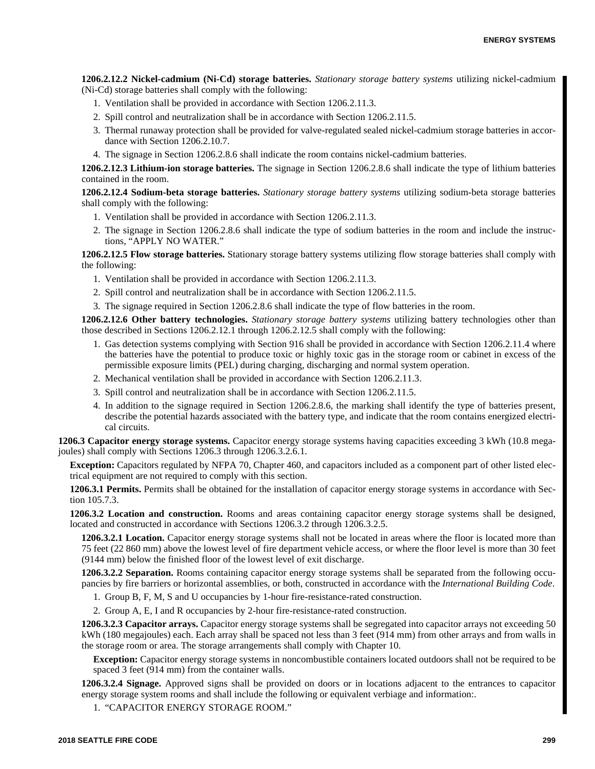**1206.2.12.2 Nickel-cadmium (Ni-Cd) storage batteries.** *Stationary storage battery systems* utilizing nickel-cadmium (Ni-Cd) storage batteries shall comply with the following:

- 1. Ventilation shall be provided in accordance with Section 1206.2.11.3.
- 2. Spill control and neutralization shall be in accordance with Section 1206.2.11.5.
- 3. Thermal runaway protection shall be provided for valve-regulated sealed nickel-cadmium storage batteries in accordance with Section 1206.2.10.7.
- 4. The signage in Section 1206.2.8.6 shall indicate the room contains nickel-cadmium batteries.

**1206.2.12.3 Lithium-ion storage batteries.** The signage in Section 1206.2.8.6 shall indicate the type of lithium batteries contained in the room.

**1206.2.12.4 Sodium-beta storage batteries.** *Stationary storage battery systems* utilizing sodium-beta storage batteries shall comply with the following:

- 1. Ventilation shall be provided in accordance with Section 1206.2.11.3.
- 2. The signage in Section 1206.2.8.6 shall indicate the type of sodium batteries in the room and include the instructions, "APPLY NO WATER."

**1206.2.12.5 Flow storage batteries.** Stationary storage battery systems utilizing flow storage batteries shall comply with the following:

- 1. Ventilation shall be provided in accordance with Section 1206.2.11.3.
- 2. Spill control and neutralization shall be in accordance with Section 1206.2.11.5.
- 3. The signage required in Section 1206.2.8.6 shall indicate the type of flow batteries in the room.

**1206.2.12.6 Other battery technologies.** *Stationary storage battery systems* utilizing battery technologies other than those described in Sections 1206.2.12.1 through 1206.2.12.5 shall comply with the following:

- 1. Gas detection systems complying with Section 916 shall be provided in accordance with Section 1206.2.11.4 where the batteries have the potential to produce toxic or highly toxic gas in the storage room or cabinet in excess of the permissible exposure limits (PEL) during charging, discharging and normal system operation.
- 2. Mechanical ventilation shall be provided in accordance with Section 1206.2.11.3.
- 3. Spill control and neutralization shall be in accordance with Section 1206.2.11.5.
- 4. In addition to the signage required in Section 1206.2.8.6, the marking shall identify the type of batteries present, describe the potential hazards associated with the battery type, and indicate that the room contains energized electrical circuits.

**1206.3 Capacitor energy storage systems.** Capacitor energy storage systems having capacities exceeding 3 kWh (10.8 megajoules) shall comply with Sections 1206.3 through 1206.3.2.6.1.

**Exception:** Capacitors regulated by NFPA 70, Chapter 460, and capacitors included as a component part of other listed electrical equipment are not required to comply with this section.

**1206.3.1 Permits.** Permits shall be obtained for the installation of capacitor energy storage systems in accordance with Section 105.7.3.

**1206.3.2 Location and construction.** Rooms and areas containing capacitor energy storage systems shall be designed, located and constructed in accordance with Sections 1206.3.2 through 1206.3.2.5.

**1206.3.2.1 Location.** Capacitor energy storage systems shall not be located in areas where the floor is located more than 75 feet (22 860 mm) above the lowest level of fire department vehicle access, or where the floor level is more than 30 feet (9144 mm) below the finished floor of the lowest level of exit discharge.

**1206.3.2.2 Separation.** Rooms containing capacitor energy storage systems shall be separated from the following occupancies by fire barriers or horizontal assemblies, or both, constructed in accordance with the *International Building Code*.

- 1. Group B, F, M, S and U occupancies by 1-hour fire-resistance-rated construction.
- 2. Group A, E, I and R occupancies by 2-hour fire-resistance-rated construction.

**1206.3.2.3 Capacitor arrays.** Capacitor energy storage systems shall be segregated into capacitor arrays not exceeding 50 kWh (180 megajoules) each. Each array shall be spaced not less than 3 feet (914 mm) from other arrays and from walls in the storage room or area. The storage arrangements shall comply with Chapter 10.

**Exception:** Capacitor energy storage systems in noncombustible containers located outdoors shall not be required to be spaced 3 feet (914 mm) from the container walls.

**1206.3.2.4 Signage.** Approved signs shall be provided on doors or in locations adjacent to the entrances to capacitor energy storage system rooms and shall include the following or equivalent verbiage and information:.

1. "CAPACITOR ENERGY STORAGE ROOM."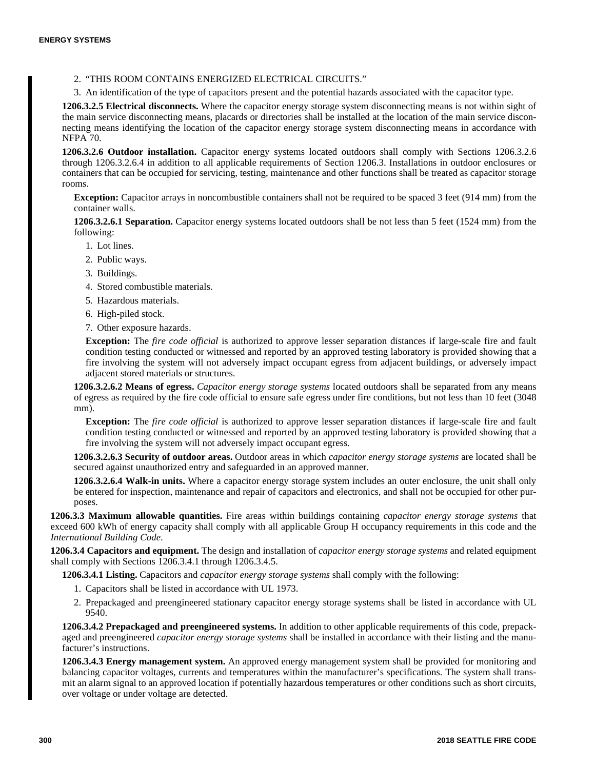2. "THIS ROOM CONTAINS ENERGIZED ELECTRICAL CIRCUITS."

3. An identification of the type of capacitors present and the potential hazards associated with the capacitor type.

**1206.3.2.5 Electrical disconnects.** Where the capacitor energy storage system disconnecting means is not within sight of the main service disconnecting means, placards or directories shall be installed at the location of the main service disconnecting means identifying the location of the capacitor energy storage system disconnecting means in accordance with NFPA 70.

**1206.3.2.6 Outdoor installation.** Capacitor energy systems located outdoors shall comply with Sections 1206.3.2.6 through 1206.3.2.6.4 in addition to all applicable requirements of Section 1206.3. Installations in outdoor enclosures or containers that can be occupied for servicing, testing, maintenance and other functions shall be treated as capacitor storage rooms.

**Exception:** Capacitor arrays in noncombustible containers shall not be required to be spaced 3 feet (914 mm) from the container walls.

**1206.3.2.6.1 Separation.** Capacitor energy systems located outdoors shall be not less than 5 feet (1524 mm) from the following:

- 1. Lot lines.
- 2. Public ways.
- 3. Buildings.
- 4. Stored combustible materials.
- 5. Hazardous materials.
- 6. High-piled stock.
- 7. Other exposure hazards.

**Exception:** The *fire code official* is authorized to approve lesser separation distances if large-scale fire and fault condition testing conducted or witnessed and reported by an approved testing laboratory is provided showing that a fire involving the system will not adversely impact occupant egress from adjacent buildings, or adversely impact adjacent stored materials or structures.

**1206.3.2.6.2 Means of egress.** *Capacitor energy storage systems* located outdoors shall be separated from any means of egress as required by the fire code official to ensure safe egress under fire conditions, but not less than 10 feet (3048 mm).

**Exception:** The *fire code official* is authorized to approve lesser separation distances if large-scale fire and fault condition testing conducted or witnessed and reported by an approved testing laboratory is provided showing that a fire involving the system will not adversely impact occupant egress.

**1206.3.2.6.3 Security of outdoor areas.** Outdoor areas in which *capacitor energy storage systems* are located shall be secured against unauthorized entry and safeguarded in an approved manner.

**1206.3.2.6.4 Walk-in units.** Where a capacitor energy storage system includes an outer enclosure, the unit shall only be entered for inspection, maintenance and repair of capacitors and electronics, and shall not be occupied for other purposes.

**1206.3.3 Maximum allowable quantities.** Fire areas within buildings containing *capacitor energy storage systems* that exceed 600 kWh of energy capacity shall comply with all applicable Group H occupancy requirements in this code and the *International Building Code*.

**1206.3.4 Capacitors and equipment.** The design and installation of *capacitor energy storage systems* and related equipment shall comply with Sections 1206.3.4.1 through 1206.3.4.5.

**1206.3.4.1 Listing.** Capacitors and *capacitor energy storage systems* shall comply with the following:

- 1. Capacitors shall be listed in accordance with UL 1973.
- 2. Prepackaged and preengineered stationary capacitor energy storage systems shall be listed in accordance with UL 9540.

**1206.3.4.2 Prepackaged and preengineered systems.** In addition to other applicable requirements of this code, prepackaged and preengineered *capacitor energy storage systems* shall be installed in accordance with their listing and the manufacturer's instructions.

**1206.3.4.3 Energy management system.** An approved energy management system shall be provided for monitoring and balancing capacitor voltages, currents and temperatures within the manufacturer's specifications. The system shall transmit an alarm signal to an approved location if potentially hazardous temperatures or other conditions such as short circuits, over voltage or under voltage are detected.